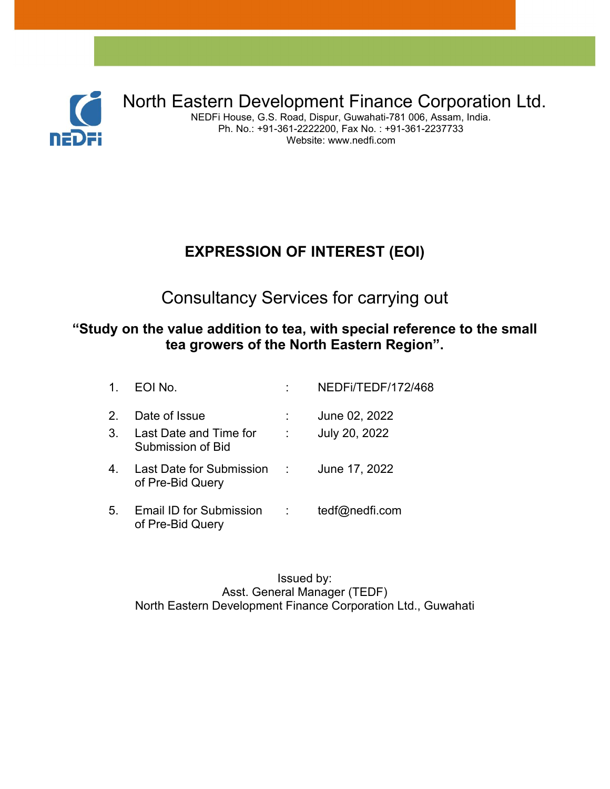

North Eastern Development Finance Corporation Ltd.

NEDFi House, G.S. Road, Dispur, Guwahati-781 006, Assam, India. Ph. No.: +91-361-2222200, Fax No. : +91-361-2237733 Website: www.nedfi.com

### **EXPRESSION OF INTEREST (EOI)**

Consultancy Services for carrying out

#### **"Study on the value addition to tea, with special reference to the small tea growers of the North Eastern Region".**

| 1 <sub>1</sub>                  | EOI No.                                                      |                          | NEDFI/TEDF/172/468             |
|---------------------------------|--------------------------------------------------------------|--------------------------|--------------------------------|
| $\mathcal{P}$<br>3 <sub>1</sub> | Date of Issue<br>Last Date and Time for<br>Submission of Bid | $\sim 10^{11}$ m $^{-1}$ | June 02, 2022<br>July 20, 2022 |
| 4.                              | Last Date for Submission : June 17, 2022<br>of Pre-Bid Query |                          |                                |
| 5.                              | Email ID for Submission<br>of Pre-Bid Query                  |                          | tedf@nedfi.com                 |

Issued by: Asst. General Manager (TEDF) North Eastern Development Finance Corporation Ltd., Guwahati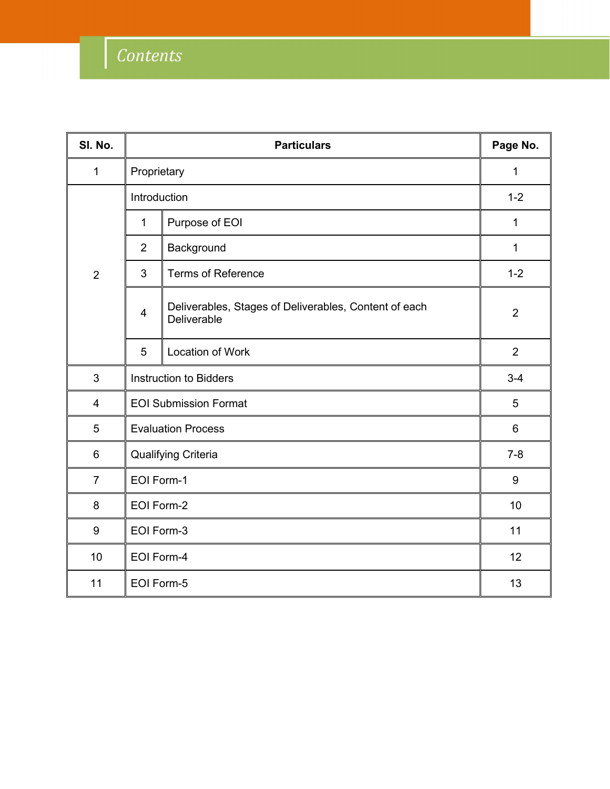| SI. No.        |                                | Page No.                                                             |                |
|----------------|--------------------------------|----------------------------------------------------------------------|----------------|
| $\mathbf{1}$   | Proprietary                    |                                                                      | $\mathbf{1}$   |
|                | Introduction                   |                                                                      | $1 - 2$        |
|                | Purpose of EOI<br>$\mathbf{1}$ |                                                                      | $\mathbf{1}$   |
|                | $\overline{2}$                 | Background                                                           | $\mathbf{1}$   |
| $\overline{2}$ | $\mathfrak{S}$                 | <b>Terms of Reference</b>                                            | $1 - 2$        |
|                | $\overline{4}$                 | Deliverables, Stages of Deliverables, Content of each<br>Deliverable | $\overline{2}$ |
|                | 5                              | Location of Work                                                     | $\overline{2}$ |
| 3              | <b>Instruction to Bidders</b>  |                                                                      | $3-4$          |
| 4              | <b>EOI Submission Format</b>   |                                                                      | 5              |
| 5              | <b>Evaluation Process</b>      |                                                                      | $6\phantom{1}$ |
| $6\phantom{1}$ | Qualifying Criteria            |                                                                      | $7 - 8$        |
| $\overline{7}$ | EOI Form-1                     |                                                                      | 9              |
| 8              | EOI Form-2                     |                                                                      | 10             |
| 9              | EOI Form-3                     |                                                                      | 11             |
| 10             |                                | EOI Form-4                                                           |                |
| 11             |                                | EOI Form-5                                                           |                |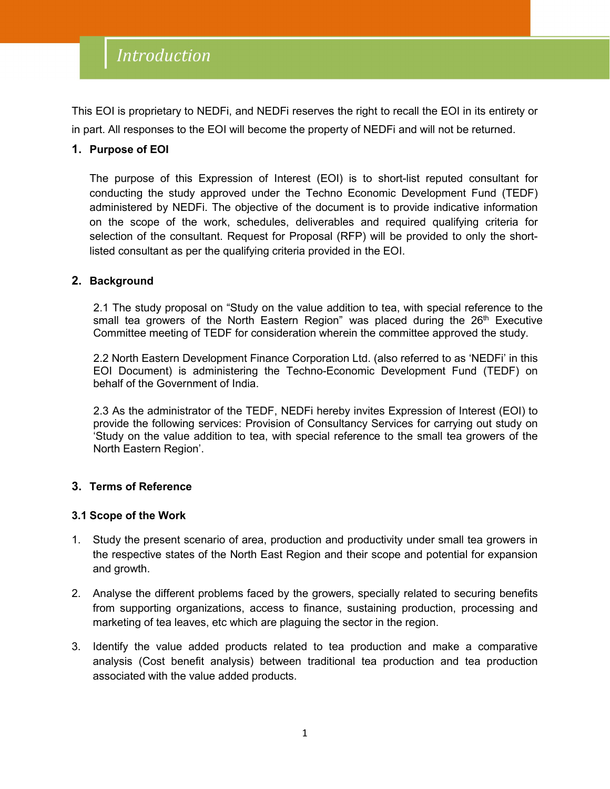This EOI is proprietary to NEDFi, and NEDFi reserves the right to recall the EOI in its entirety or in part. All responses to the EOI will become the property of NEDFi and will not be returned.

#### **1. Purpose of EOI**

The purpose of this Expression of Interest (EOI) is to short-list reputed consultant for conducting the study approved under the Techno Economic Development Fund (TEDF) administered by NEDFi. The objective of the document is to provide indicative information on the scope of the work, schedules, deliverables and required qualifying criteria for selection of the consultant. Request for Proposal (RFP) will be provided to only the shortlisted consultant as per the qualifying criteria provided in the EOI.

#### **2. Background**

2.1 The study proposal on "Study on the value addition to tea, with special reference to the small tea growers of the North Eastern Region" was placed during the 26<sup>th</sup> Executive Committee meeting of TEDF for consideration wherein the committee approved the study.

2.2 North Eastern Development Finance Corporation Ltd. (also referred to as 'NEDFi' in this EOI Document) is administering the Techno-Economic Development Fund (TEDF) on behalf of the Government of India.

2.3 As the administrator of the TEDF, NEDFi hereby invites Expression of Interest (EOI) to provide the following services: Provision of Consultancy Services for carrying out study on 'Study on the value addition to tea, with special reference to the small tea growers of the North Eastern Region'.

#### **3. Terms of Reference**

#### **3.1 Scope of the Work**

- 1. Study the present scenario of area, production and productivity under small tea growers in the respective states of the North East Region and their scope and potential for expansion and growth.
- 2. Analyse the different problems faced by the growers, specially related to securing benefits from supporting organizations, access to finance, sustaining production, processing and marketing of tea leaves, etc which are plaguing the sector in the region.
- 3. Identify the value added products related to tea production and make a comparative analysis (Cost benefit analysis) between traditional tea production and tea production associated with the value added products.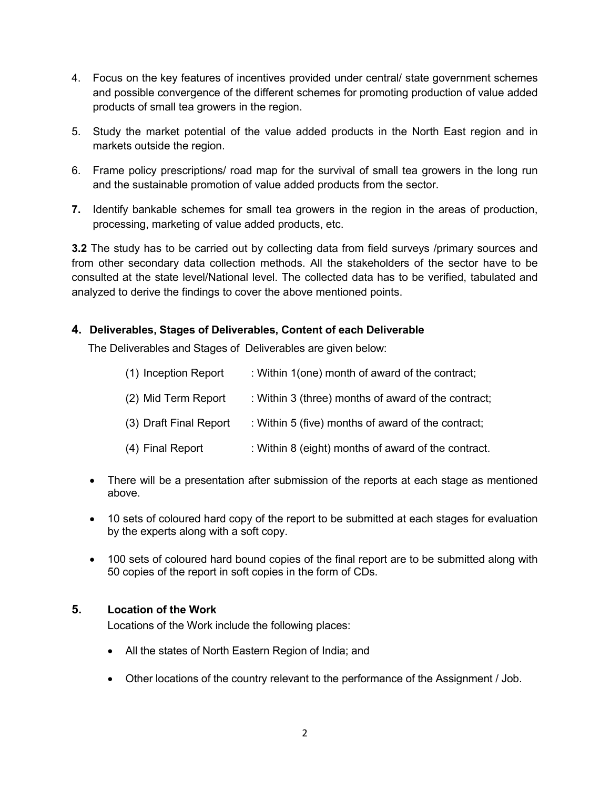- 4. Focus on the key features of incentives provided under central/ state government schemes and possible convergence of the different schemes for promoting production of value added products of small tea growers in the region.
- 5. Study the market potential of the value added products in the North Eastregion and in markets outside the region.
- 6. Frame policy prescriptions/ road map for the survival of small tea growers in the long run and the sustainable promotion of value added products from the sector.
- **7.** Identify bankable schemes for small tea growers in the region in the areas of production, processing, marketing of value added products, etc.

**3.2** The study has to be carried out by collecting data from field surveys /primary sources and from other secondary data collection methods. All the stakeholders of the sector have to be consulted at the state level/National level. The collected data has to be verified, tabulated and analyzed to derive the findings to cover the above mentioned points.

#### **4. Deliverables, Stages of Deliverables, Content of each Deliverable**

The Deliverables and Stages of Deliverables are given below:

| (1) Inception Report   | : Within 1(one) month of award of the contract;     |
|------------------------|-----------------------------------------------------|
| (2) Mid Term Report    | : Within 3 (three) months of award of the contract; |
| (3) Draft Final Report | : Within 5 (five) months of award of the contract;  |
| (4) Final Report       | : Within 8 (eight) months of award of the contract. |

- There will be a presentation after submission of the reports at each stage as mentioned above.
- 10 sets of coloured hard copy of the report to be submitted at each stages for evaluation by the experts along with a soft copy.
- 100 sets of coloured hard bound copies of the final report are to be submitted along with 50 copies of the report in soft copies in the form of CDs.

#### **5. Location of the Work**

Locations of the Work include the following places:

- All the states of North Eastern Region of India; and
- Other locations of the country relevant to the performance of the Assignment / Job.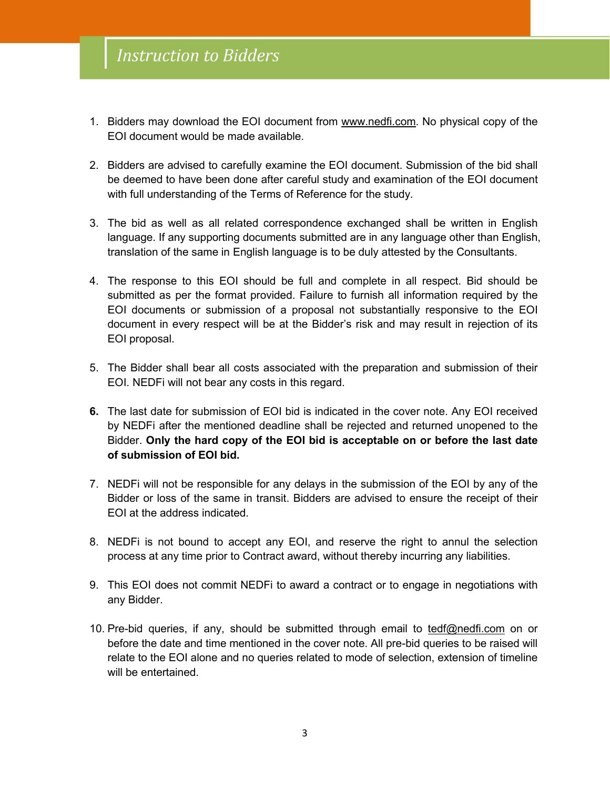- 1. Bidders may download the EOI document from [www.nedfi.com](http://www.nedfi.com). No physical copy of the EOI document would be made available.
- 2. Bidders are advised to carefully examine the EOI document. Submission of the bid shall be deemed to have been done after careful study and examination of the EOI document with full understanding of the Terms of Reference for the study.
- 3. The bid as well as all related correspondence exchanged shall be written in English language. If any supporting documents submitted are in any language other than English, translation of the same in English language is to be duly attested by the Consultants.
- 4. The response to this EOI should be full and complete in all respect. Bid should be submitted as per the format provided. Failure to furnish all information required by the EOI documents or submission of a proposal not substantially responsive to the EOI document in every respect will be at the Bidder's risk and may result in rejection of its EOI proposal.
- 5. The Bidder shall bear all costs associated with the preparation and submission of their EOI. NEDFi will not bear any costs in this regard.
- **6.** The last date for submission of EOI bid is indicated in the cover note. Any EOI received by NEDFi after the mentioned deadline shall be rejected and returned unopened to the Bidder. **Only the hard copy of the EOI bid is acceptable on or before the last date of submission of EOI bid.**
- 7. NEDFi will not be responsible for any delays in the submission of the EOI by any of the Bidder or loss of the same in transit. Bidders are advised to ensure the receipt of their EOI at the address indicated.
- 8. NEDFi is not bound to accept any EOI, and reserve the right to annul the selection process at any time prior to Contract award, without thereby incurring any liabilities.
- 9. This EOI does not commit NEDFi to award a contract or to engage in negotiations with any Bidder.
- 10. Pre-bid queries, if any, should be submitted through email to [tedf@nedfi.com](mailto:tedf@nedfi.com) on or before the date and time mentioned in the cover note. All pre-bid queries to be raised will relate to the EOI alone and no queries related to mode of selection, extension of timeline will be entertained.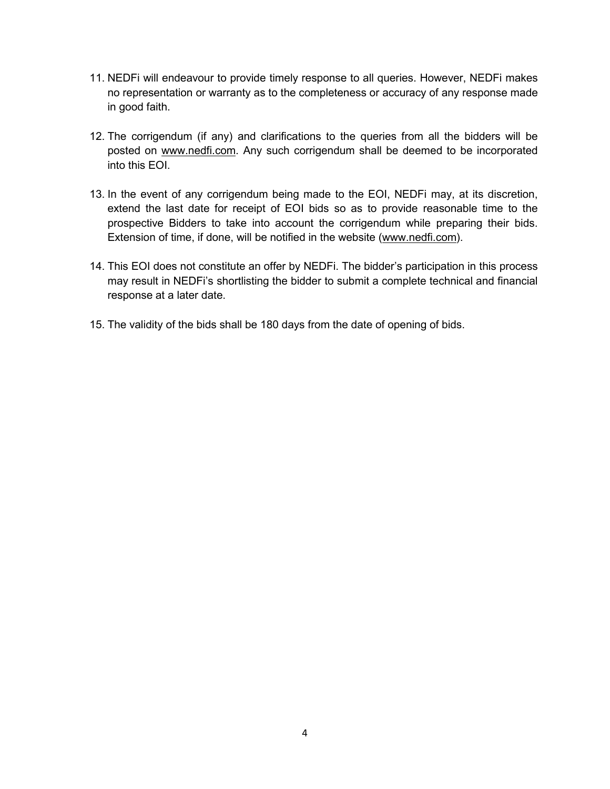- 11. NEDFi will endeavour to provide timely response to all queries. However, NEDFi makes no representation or warranty as to the completeness or accuracy of any response made in good faith.
- 12. The corrigendum (if any) and clarifications to the queries from all the bidders will be posted on [www.nedfi.com.](http://www.nedfi.com) Any such corrigendum shall be deemed to be incorporated into this EOI.
- 13. In the event of any corrigendum being made to the EOI, NEDFi may, at its discretion, extend the last date for receipt of EOI bids so as to provide reasonable time to the prospective Bidders to take into account the corrigendum while preparing their bids. Extension of time, if done, will be notified in the website ([www.nedfi.com](http://www.nedfi.com)).
- 14. This EOI does not constitute an offer by NEDFi. The bidder's participation in this process may result in NEDFi's shortlisting the bidder to submit a complete technical and financial response at a later date.
- 15. The validity of the bids shall be 180 days from the date of opening of bids.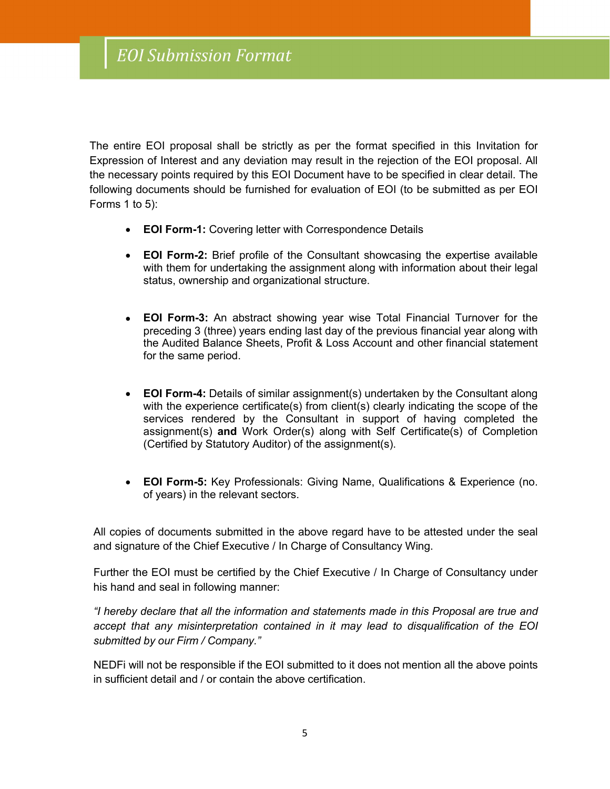The entire EOI proposal shall be strictly as per the format specified in this Invitation for Expression of Interest and any deviation may result in the rejection of the EOI proposal. All the necessary points required by this EOI Document have to be specified in clear detail. The following documents should be furnished for evaluation of EOI (to be submitted as per EOI Forms 1 to 5):

- **EOI Form-1:** Covering letter with Correspondence Details
- **EOI Form-2:** Brief profile of the Consultant showcasing the expertise available with them for undertaking the assignment along with information about their legal status, ownership and organizational structure.
- **EOI Form-3:** An abstract showing year wise Total Financial Turnover for the preceding 3 (three) years ending last day of the previous financial year along with the Audited Balance Sheets, Profit & Loss Account and other financial statement for the same period.
- **EOI Form-4:** Details of similar assignment(s) undertaken by the Consultant along with the experience certificate(s) from client(s) clearly indicating the scope of the services rendered by the Consultant in support of having completed the assignment(s) **and** Work Order(s) along with Self Certificate(s) of Completion (Certified by Statutory Auditor) of the assignment(s).
- **EOI Form-5:** Key Professionals: Giving Name, Qualifications & Experience (no. of years) in the relevant sectors.

All copies of documents submitted in the above regard have to be attested under the seal and signature of the Chief Executive / In Charge of Consultancy Wing.

Further the EOI must be certified by the Chief Executive / In Charge of Consultancy under his hand and seal in following manner:

*"I hereby declare that all the information and statements made in this Proposal are true and accept that any misinterpretation contained in it may lead to disqualification of the EOI submitted by our Firm / Company."*

NEDFi will not be responsible if the EOI submitted to it does not mention all the above points in sufficient detail and / or contain the above certification.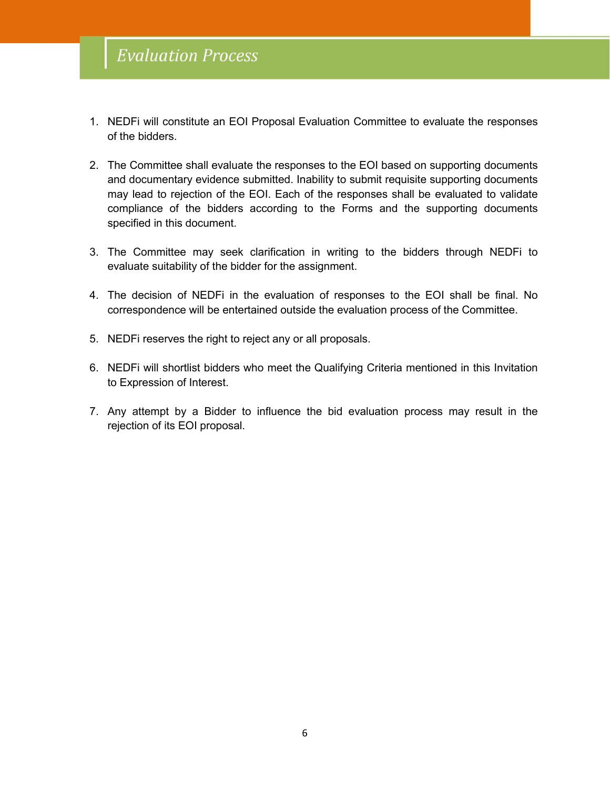- 1. NEDFi will constitute an EOI Proposal Evaluation Committee to evaluate the responses of the bidders.
- 2. The Committee shall evaluate the responses to the EOI based on supporting documents and documentary evidence submitted. Inability to submit requisite supporting documents may lead to rejection of the EOI. Each of the responses shall be evaluated to validate compliance of the bidders according to the Forms and the supporting documents specified in this document.
- 3. The Committee may seek clarification in writing to the bidders through NEDFi to evaluate suitability of the bidder for the assignment.
- 4. The decision of NEDFi in the evaluation of responses to the EOI shall be final. No correspondence will be entertained outside the evaluation process of the Committee.5. NEDFi reserves the right to reject any or all proposals.
- 
- 6. NEDFi will shortlist bidders who meet the Qualifying Criteria mentioned in this Invitation to Expression of Interest.
- 7. Any attempt by a Bidder to influence the bid evaluation process may result in the rejection of its EOI proposal.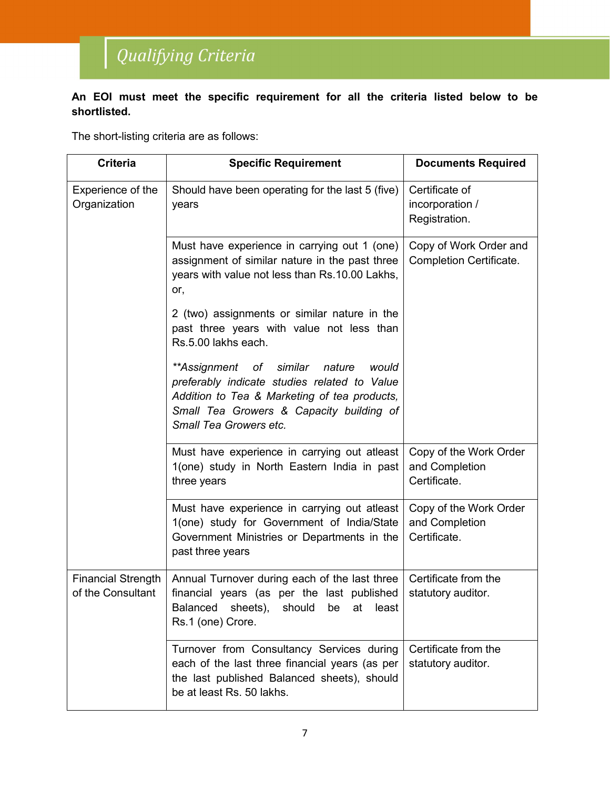# Qualifying Criteria

#### **An EOI must meet the specific requirement for all the criteria listed below to be shortlisted.**

The short-listing criteria are as follows:

| <b>Criteria</b>                                | <b>Specific Requirement</b>                                                                                                                                                                                         |                                                          |
|------------------------------------------------|---------------------------------------------------------------------------------------------------------------------------------------------------------------------------------------------------------------------|----------------------------------------------------------|
| Experience of the<br>Organization              | Should have been operating for the last 5 (five)<br>years                                                                                                                                                           | Certificate of<br>incorporation /<br>Registration.       |
|                                                | Must have experience in carrying out 1 (one)<br>assignment of similar nature in the past three<br>years with value not less than Rs.10.00 Lakhs,<br>or,                                                             | Copy of Work Order and<br><b>Completion Certificate.</b> |
|                                                | 2 (two) assignments or similar nature in the<br>past three years with value not less than<br>Rs.5.00 lakhs each.                                                                                                    |                                                          |
|                                                | **Assignment of<br>similar<br>nature<br>would<br>preferably indicate studies related to Value<br>Addition to Tea & Marketing of tea products,<br>Small Tea Growers & Capacity building of<br>Small Tea Growers etc. |                                                          |
|                                                | Must have experience in carrying out atleast<br>1(one) study in North Eastern India in past<br>three years                                                                                                          | Copy of the Work Order<br>and Completion<br>Certificate. |
|                                                | Must have experience in carrying out atleast<br>1(one) study for Government of India/State<br>Government Ministries or Departments in the<br>past three years                                                       | Copy of the Work Order<br>and Completion<br>Certificate. |
| <b>Financial Strength</b><br>of the Consultant | Annual Turnover during each of the last three<br>financial years (as per the last published<br>least<br><b>Balanced</b><br>sheets),<br>should<br>be<br>at<br>Rs.1 (one) Crore.                                      | Certificate from the<br>statutory auditor.               |
|                                                | Turnover from Consultancy Services during<br>each of the last three financial years (as per<br>the last published Balanced sheets), should<br>be at least Rs. 50 lakhs.                                             | Certificate from the<br>statutory auditor.               |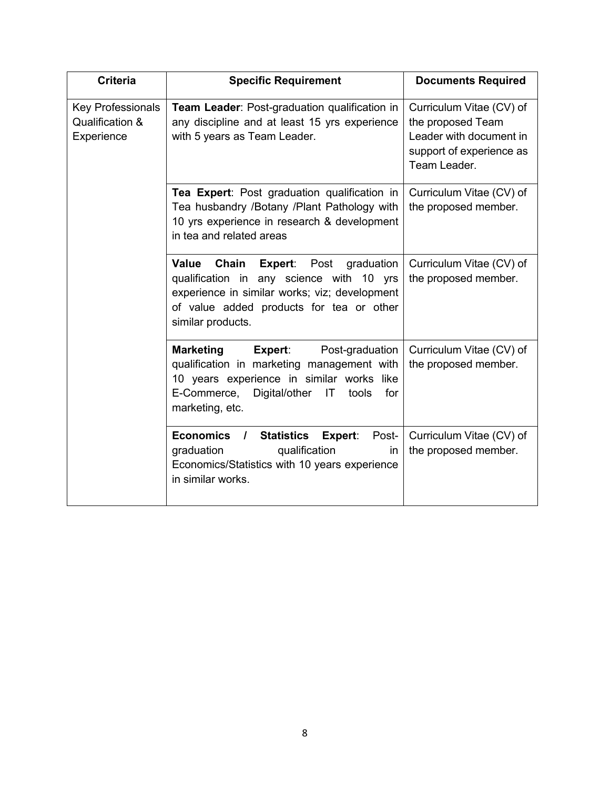| <b>Criteria</b>                                           | <b>Specific Requirement</b>                                                                                                                                                                                        | <b>Documents Required</b>                                                                                            |
|-----------------------------------------------------------|--------------------------------------------------------------------------------------------------------------------------------------------------------------------------------------------------------------------|----------------------------------------------------------------------------------------------------------------------|
| <b>Key Professionals</b><br>Qualification &<br>Experience | Team Leader: Post-graduation qualification in<br>any discipline and at least 15 yrs experience<br>with 5 years as Team Leader.                                                                                     | Curriculum Vitae (CV) of<br>the proposed Team<br>Leader with document in<br>support of experience as<br>Team Leader. |
|                                                           | Tea Expert: Post graduation qualification in<br>Tea husbandry /Botany /Plant Pathology with<br>10 yrs experience in research & development<br>in tea and related areas                                             | Curriculum Vitae (CV) of<br>the proposed member.                                                                     |
|                                                           | Value<br>Chain<br><b>Expert:</b> Post graduation<br>qualification in any science with 10 yrs<br>experience in similar works; viz; development<br>of value added products for tea or other<br>similar products.     | Curriculum Vitae (CV) of<br>the proposed member.                                                                     |
|                                                           | <b>Marketing</b><br>Expert:<br>Post-graduation<br>qualification in marketing management with<br>10 years experience in similar works like<br>E-Commerce,<br>Digital/other<br>IT<br>tools<br>for<br>marketing, etc. | Curriculum Vitae (CV) of<br>the proposed member.                                                                     |
|                                                           | Economics /<br><b>Statistics Expert:</b><br>Post-<br>qualification<br>graduation<br>in<br>Economics/Statistics with 10 years experience<br>in similar works.                                                       | Curriculum Vitae (CV) of<br>the proposed member.                                                                     |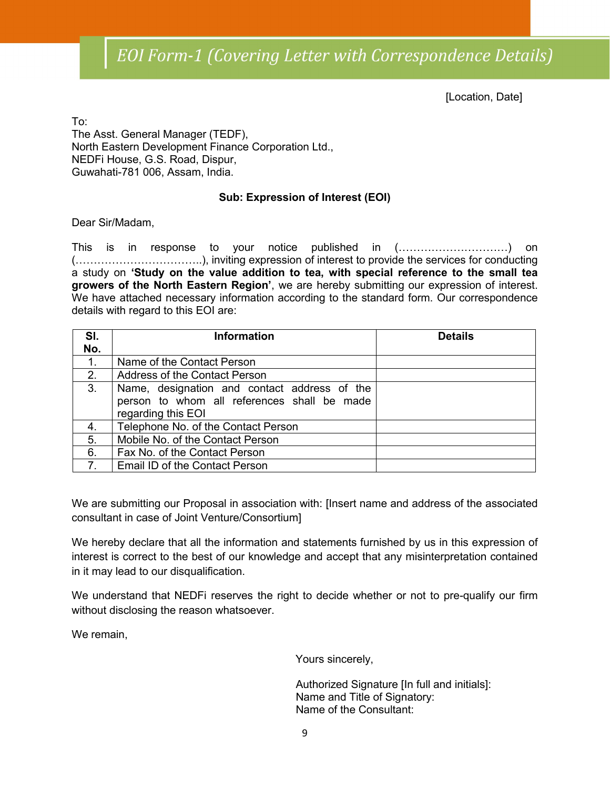[Location, Date]

To: The Asst. General Manager (TEDF), North Eastern Development Finance Corporation Ltd., NEDFi House, G.S. Road, Dispur, Guwahati-781 006, Assam, India.

#### **Sub: Expression of Interest (EOI)**

Dear Sir/Madam,

This is in response to your notice published in (…………………………) on (……………………………..), inviting expression of interest to provide the services for conducting a study on **'Study on the value addition to tea, with special reference to the small tea growers of the North Eastern Region'**, we are hereby submitting our expression of interest. We have attached necessary information according to the standard form. Our correspondence details with regard to this EOI are:

| SI. | <b>Information</b>                                                                                                | <b>Details</b> |
|-----|-------------------------------------------------------------------------------------------------------------------|----------------|
| No. |                                                                                                                   |                |
| 1.  | Name of the Contact Person                                                                                        |                |
| 2.  | <b>Address of the Contact Person</b>                                                                              |                |
| 3.  | Name, designation and contact address of the<br>person to whom all references shall be made<br>regarding this EOI |                |
| 4.  | Telephone No. of the Contact Person                                                                               |                |
| 5.  | Mobile No. of the Contact Person                                                                                  |                |
| 6.  | Fax No. of the Contact Person                                                                                     |                |
| 7.  | Email ID of the Contact Person                                                                                    |                |

We are submitting our Proposal in association with: [Insert name and address of the associated consultant in case of Joint Venture/Consortium]

We hereby declare that all the information and statements furnished by us in this expression of interest is correct to the best of our knowledge and accept that any misinterpretation contained in it may lead to our disqualification.

We understand that NEDFi reserves the right to decide whether or not to pre-qualify our firm without disclosing the reason whatsoever.

We remain,

Yours sincerely,

Authorized Signature [In full and initials]: Name and Title of Signatory: Name of the Consultant: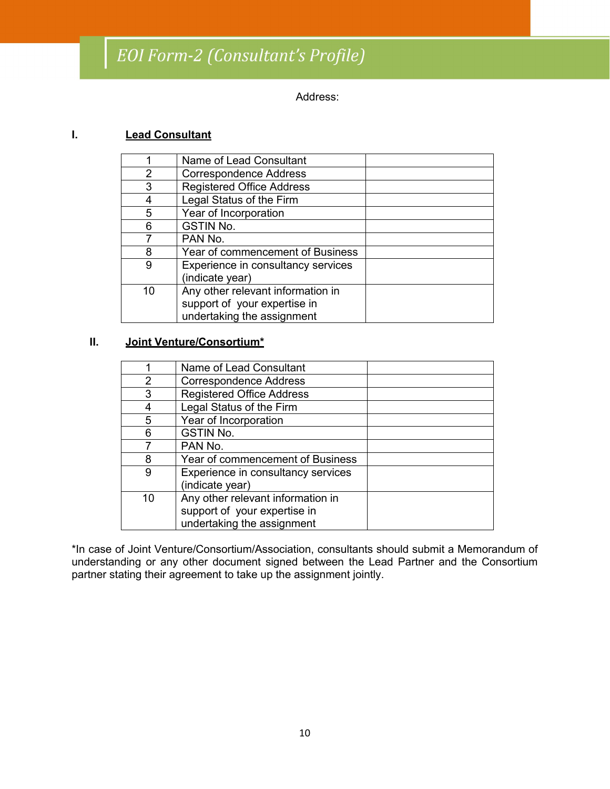## EOI Form-2 (Consultant's Profile)

Address:

#### **I. Lead Consultant**

|    | Name of Lead Consultant                               |  |
|----|-------------------------------------------------------|--|
| 2  | <b>Correspondence Address</b>                         |  |
| 3  | <b>Registered Office Address</b>                      |  |
|    | Legal Status of the Firm                              |  |
| 5  | Year of Incorporation                                 |  |
| 6  | <b>GSTIN No.</b>                                      |  |
|    | PAN No.                                               |  |
|    | Year of commencement of Business                      |  |
| 9  | Experience in consultancy services<br>(indicate year) |  |
|    |                                                       |  |
| 10 | Any other relevant information in                     |  |
|    | support of your expertise in                          |  |
|    | undertaking the assignment                            |  |
|    |                                                       |  |

#### **II. Joint Venture/Consortium\***

|    | Name of Lead Consultant            |  |
|----|------------------------------------|--|
| 2  | <b>Correspondence Address</b>      |  |
| 3  | <b>Registered Office Address</b>   |  |
|    | Legal Status of the Firm           |  |
| 5  | Year of Incorporation              |  |
| 6  | <b>GSTIN No.</b>                   |  |
|    | PAN No.                            |  |
| 8  | Year of commencement of Business   |  |
| 9  | Experience in consultancy services |  |
|    | (indicate year)                    |  |
| 10 | Any other relevant information in  |  |
|    | support of your expertise in       |  |
|    | undertaking the assignment         |  |

\*In case of Joint Venture/Consortium/Association, consultants should submit a Memorandum of understanding or any other document signed between the Lead Partner and the Consortium partner stating their agreement to take up the assignment jointly.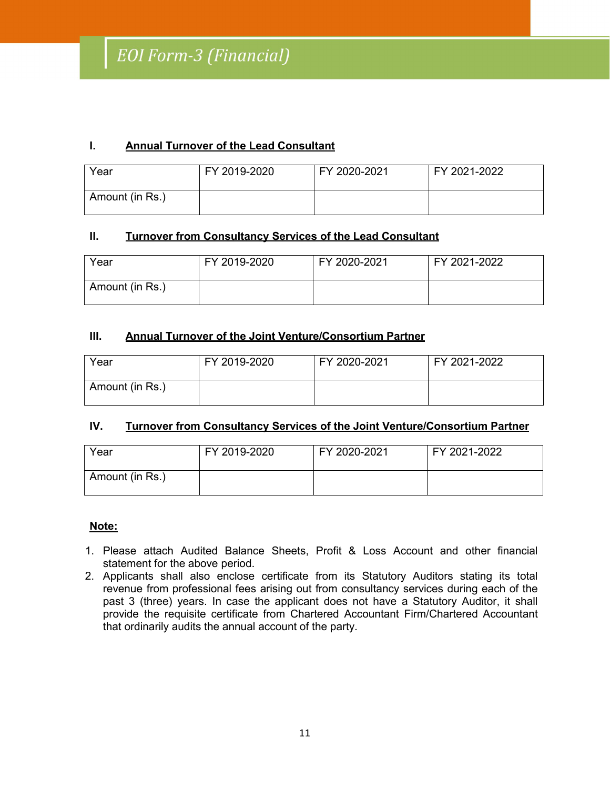#### **I. Annual Turnover of the Lead Consultant**

| Year            | FY 2019-2020 | FY 2020-2021 | FY 2021-2022 |
|-----------------|--------------|--------------|--------------|
| Amount (in Rs.) |              |              |              |

#### **II. Turnover from Consultancy Services of the Lead Consultant**

| Year            | FY 2019-2020 | FY 2020-2021 | FY 2021-2022 |
|-----------------|--------------|--------------|--------------|
| Amount (in Rs.) |              |              |              |

#### **III. Annual Turnover of the Joint Venture/Consortium Partner**

| Year            | FY 2019-2020 | FY 2020-2021 | FY 2021-2022 |
|-----------------|--------------|--------------|--------------|
| Amount (in Rs.) |              |              |              |

#### **IV. Turnover from Consultancy Services of the Joint Venture/Consortium Partner**

| Year            | FY 2019-2020 | FY 2020-2021 | FY 2021-2022 |
|-----------------|--------------|--------------|--------------|
| Amount (in Rs.) |              |              |              |

#### **Note:**

- 1. Please attach Audited Balance Sheets, Profit & Loss Accountand other financial statement for the above period.
- 2. Applicants shall also enclose certificate from its Statutory Auditors stating its total revenue from professional fees arising out from consultancy services during each of the past 3 (three) years. In case the applicant does not have a Statutory Auditor, it shall provide the requisite certificate from Chartered Accountant Firm/Chartered Accountant that ordinarily audits the annual account of the party.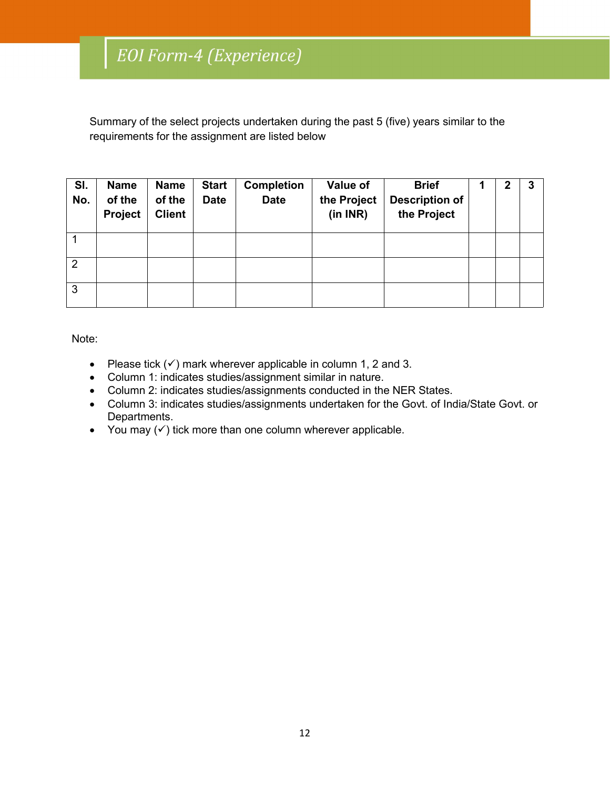Summary of the select projects undertaken during the past 5 (five) years similar to the requirements for the assignment are listed below

| SI.<br>No.     | <b>Name</b><br>of the<br>Project | <b>Name</b><br>of the<br><b>Client</b> | <b>Start</b><br><b>Date</b> | <b>Completion</b><br><b>Date</b> | Value of<br>the Project<br>(in INR) | <b>Brief</b><br><b>Description of</b><br>the Project | $\mathbf 2$ | 3 |
|----------------|----------------------------------|----------------------------------------|-----------------------------|----------------------------------|-------------------------------------|------------------------------------------------------|-------------|---|
|                |                                  |                                        |                             |                                  |                                     |                                                      |             |   |
| $\overline{2}$ |                                  |                                        |                             |                                  |                                     |                                                      |             |   |
| 3              |                                  |                                        |                             |                                  |                                     |                                                      |             |   |

Note:

- Please tick  $(v)$  mark wherever applicable in column 1, 2 and 3.
- Column 1: indicates studies/assignment similar in nature.
- Column 2: indicates studies/assignments conducted in the NER States.
- Column 3: indicates studies/assignments undertaken for the Govt. of India/State Govt. or Departments.
- You may  $(\checkmark)$  tick more than one column wherever applicable.